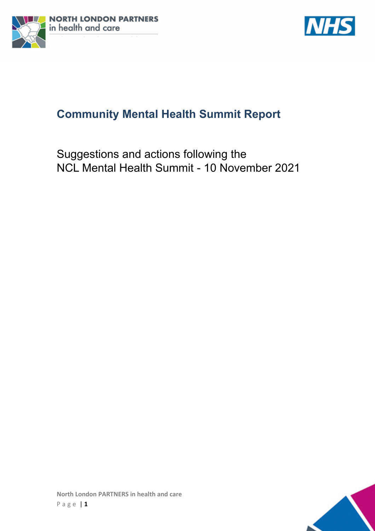



# **Community Mental Health Summit Report**

Suggestions and actions following the NCL Mental Health Summit - 10 November 2021

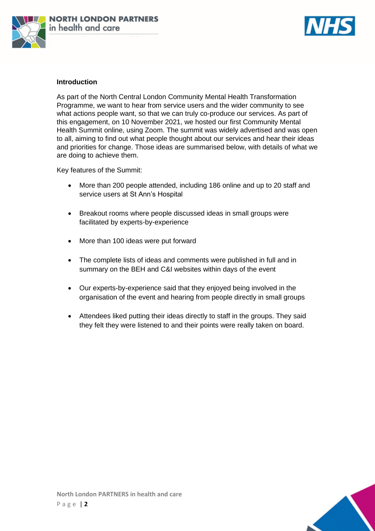



## **Introduction**

As part of the North Central London Community Mental Health Transformation Programme, we want to hear from service users and the wider community to see what actions people want, so that we can truly co-produce our services. As part of this engagement, on 10 November 2021, we hosted our first Community Mental Health Summit online, using Zoom. The summit was widely advertised and was open to all, aiming to find out what people thought about our services and hear their ideas and priorities for change. Those ideas are summarised below, with details of what we are doing to achieve them.

Key features of the Summit:

- More than 200 people attended, including 186 online and up to 20 staff and service users at St Ann's Hospital
- Breakout rooms where people discussed ideas in small groups were facilitated by experts-by-experience
- More than 100 ideas were put forward
- The complete lists of ideas and comments were published in full and in summary on the BEH and C&I websites within days of the event
- Our experts-by-experience said that they enjoyed being involved in the organisation of the event and hearing from people directly in small groups
- Attendees liked putting their ideas directly to staff in the groups. They said they felt they were listened to and their points were really taken on board.

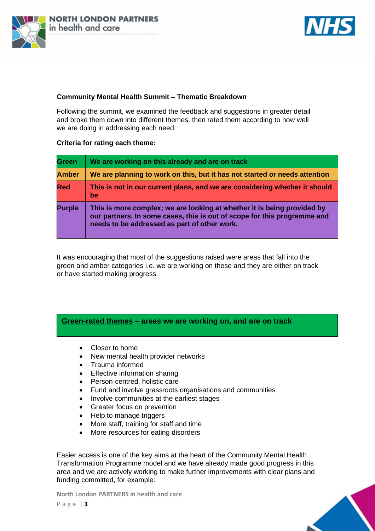



## **Community Mental Health Summit – Thematic Breakdown**

Following the summit, we examined the feedback and suggestions in greater detail and broke them down into different themes, then rated them according to how well we are doing in addressing each need.

### **Criteria for rating each theme:**

| Green         | We are working on this already and are on track                                                                                                                                                     |
|---------------|-----------------------------------------------------------------------------------------------------------------------------------------------------------------------------------------------------|
| <b>Amber</b>  | We are planning to work on this, but it has not started or needs attention                                                                                                                          |
| Red           | This is not in our current plans, and we are considering whether it should<br><b>be</b>                                                                                                             |
| <b>Purple</b> | This is more complex; we are looking at whether it is being provided by<br>our partners. In some cases, this is out of scope for this programme and<br>needs to be addressed as part of other work. |

It was encouraging that most of the suggestions raised were areas that fall into the green and amber categories i.e. we are working on these and they are either on track or have started making progress.

## **Green-rated themes – areas we are working on, and are on track**

- Closer to home
- New mental health provider networks
- Trauma informed
- Effective information sharing
- Person-centred, holistic care
- Fund and involve grassroots organisations and communities
- Involve communities at the earliest stages
- Greater focus on prevention
- Help to manage triggers
- More staff, training for staff and time
- More resources for eating disorders

Easier access is one of the key aims at the heart of the Community Mental Health Transformation Programme model and we have already made good progress in this area and we are actively working to make further improvements with clear plans and funding committed, for example:

**North London PARTNERS in health and care**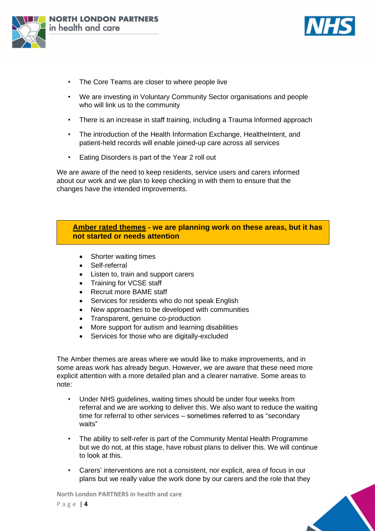



- The Core Teams are closer to where people live
- We are investing in Voluntary Community Sector organisations and people who will link us to the community
- There is an increase in staff training, including a Trauma Informed approach
- The introduction of the Health Information Exchange, HealtheIntent, and patient-held records will enable joined-up care across all services
- Eating Disorders is part of the Year 2 roll out

We are aware of the need to keep residents, service users and carers informed about our work and we plan to keep checking in with them to ensure that the changes have the intended improvements.

## **Amber rated themes - we are planning work on these areas, but it has not started or needs attention**

- Shorter waiting times
- Self-referral
- Listen to, train and support carers
- Training for VCSE staff
- Recruit more BAME staff
- Services for residents who do not speak English
- New approaches to be developed with communities
- Transparent, genuine co-production
- More support for autism and learning disabilities
- Services for those who are digitally-excluded

The Amber themes are areas where we would like to make improvements, and in some areas work has already begun. However, we are aware that these need more explicit attention with a more detailed plan and a clearer narrative. Some areas to note:

- Under NHS guidelines, waiting times should be under four weeks from referral and we are working to deliver this. We also want to reduce the waiting time for referral to other services – sometimes referred to as "secondary waits"
- The ability to self-refer is part of the Community Mental Health Programme but we do not, at this stage, have robust plans to deliver this. We will continue to look at this.
- Carers' interventions are not a consistent, nor explicit, area of focus in our plans but we really value the work done by our carers and the role that they

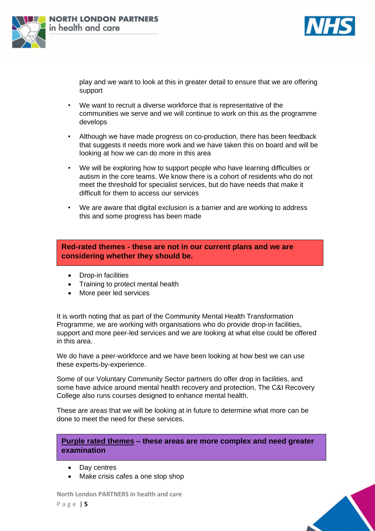



play and we want to look at this in greater detail to ensure that we are offering support

- We want to recruit a diverse workforce that is representative of the communities we serve and we will continue to work on this as the programme develops
- Although we have made progress on co-production, there has been feedback that suggests it needs more work and we have taken this on board and will be looking at how we can do more in this area
- We will be exploring how to support people who have learning difficulties or autism in the core teams. We know there is a cohort of residents who do not meet the threshold for specialist services, but do have needs that make it difficult for them to access our services
- We are aware that digital exclusion is a barrier and are working to address this and some progress has been made

**Red-rated themes - these are not in our current plans and we are considering whether they should be.** 

- Drop-in facilities
- Training to protect mental health
- More peer led services

It is worth noting that as part of the Community Mental Health Transformation Programme, we are working with organisations who do provide drop-in facilities, support and more peer-led services and we are looking at what else could be offered in this area.

We do have a peer-workforce and we have been looking at how best we can use these experts-by-experience.

Some of our Voluntary Community Sector partners do offer drop in facilities, and some have advice around mental health recovery and protection, The C&I Recovery College also runs courses designed to enhance mental health.

These are areas that we will be looking at in future to determine what more can be done to meet the need for these services.

**Purple rated themes – these areas are more complex and need greater examination** 

- Day centres
- Make crisis cafes a one stop shop

**North London PARTNERS in health and care** P a g e | **5**